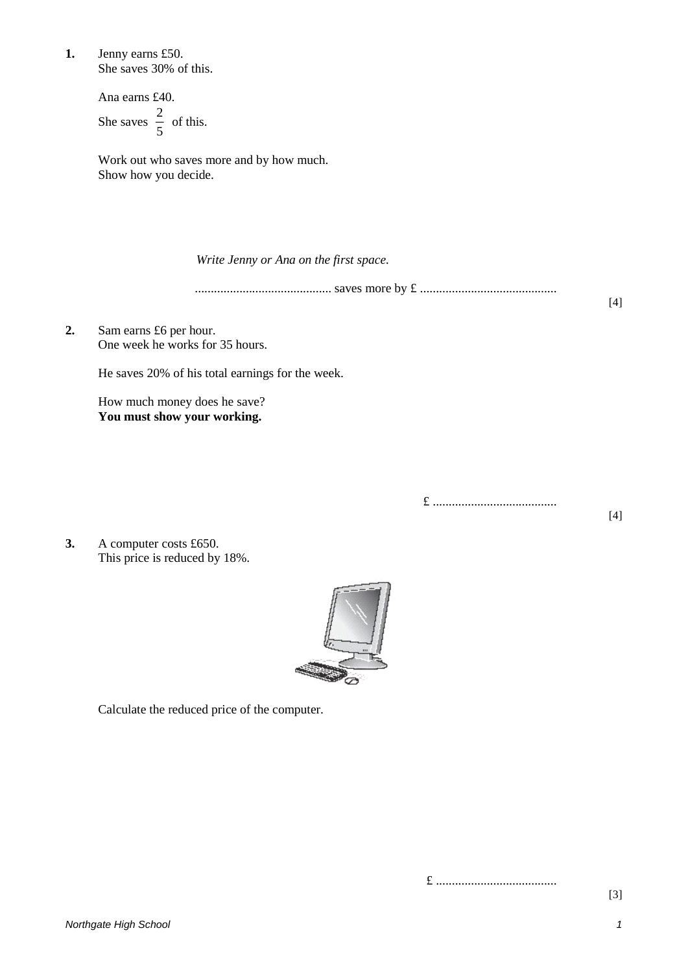**1.** Jenny earns £50. She saves 30% of this.

> Ana earns £40. She saves  $\frac{2}{5}$  of this. 5 2

Work out who saves more and by how much. Show how you decide.

*Write Jenny or Ana on the first space.*

........................................... saves more by £ ...........................................

**2.** Sam earns £6 per hour. One week he works for 35 hours.

He saves 20% of his total earnings for the week.

How much money does he save? **You must show your working.**

£ .......................................

**3.** A computer costs £650. This price is reduced by 18%.



Calculate the reduced price of the computer.

£ ......................................

[3]

[4]

 $[4]$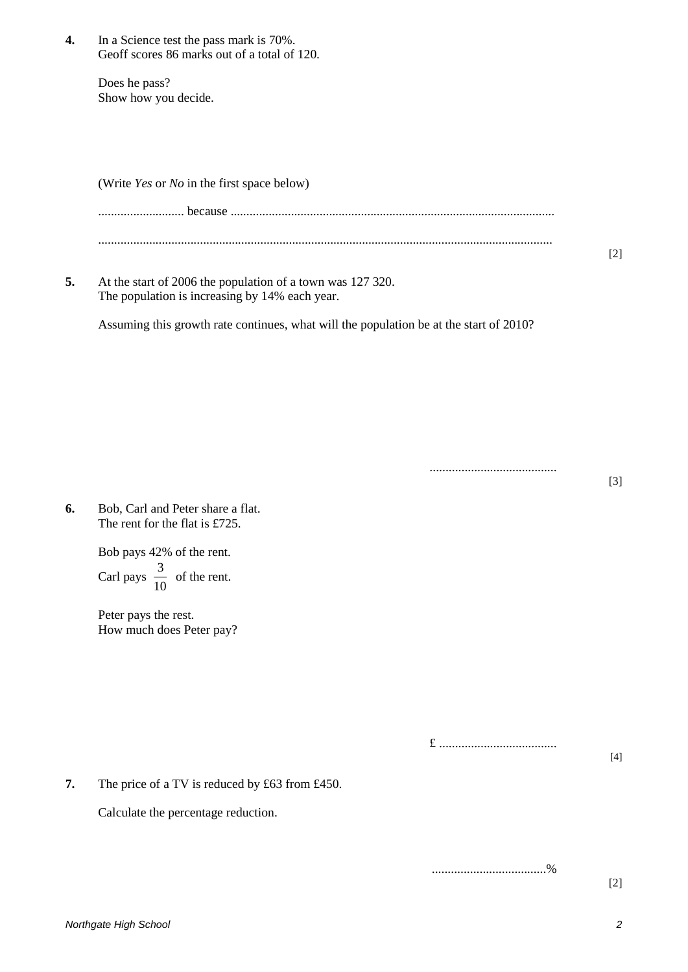**4.** In a Science test the pass mark is 70%. Geoff scores 86 marks out of a total of 120.

> Does he pass? Show how you decide.

(Write *Yes* or *No* in the first space below)

| 5. | At the start of 2006 the population of a town was 127 320. | [2] |
|----|------------------------------------------------------------|-----|

The population is increasing by 14% each year.

Assuming this growth rate continues, what will the population be at the start of 2010?

........................................ [3]

**6.** Bob, Carl and Peter share a flat. The rent for the flat is £725.

> Bob pays 42% of the rent. Carl pays  $\frac{6}{10}$  of the rent. 3

Peter pays the rest. How much does Peter pay?

£ .....................................

[4]

**7.** The price of a TV is reduced by £63 from £450.

Calculate the percentage reduction.

....................................%

[2]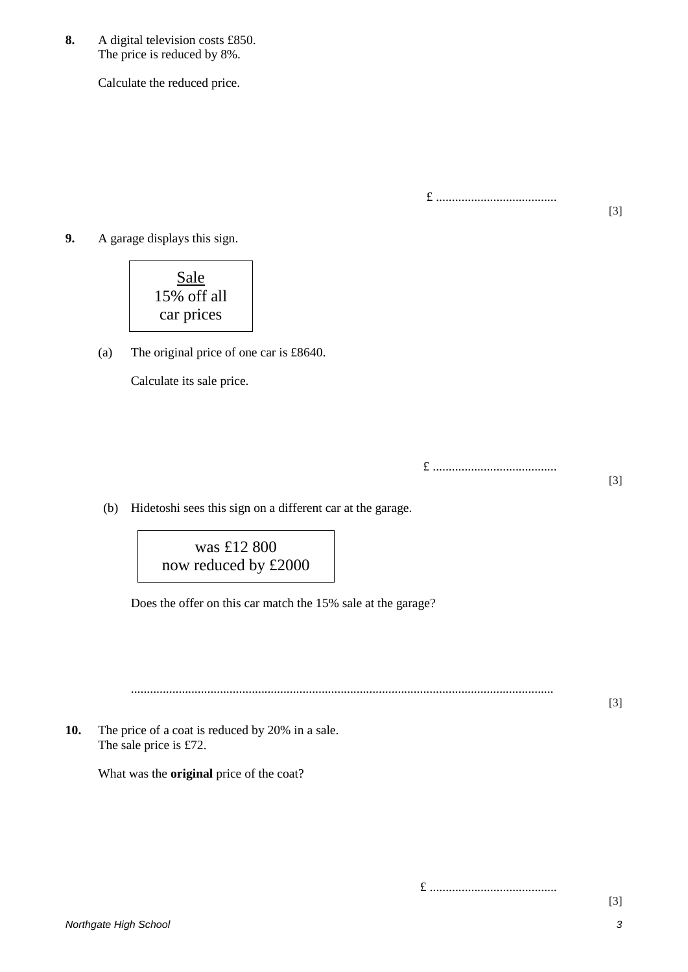**8.** A digital television costs £850. The price is reduced by 8%.

Calculate the reduced price.

£ ......................................

[3]

[3]

[3]

**9.** A garage displays this sign.

**Sale** 15% off all car prices

(a) The original price of one car is £8640.

Calculate its sale price.

£ .......................................

(b) Hidetoshi sees this sign on a different car at the garage.

was £12 800 now reduced by £2000

Does the offer on this car match the 15% sale at the garage?

.....................................................................................................................................

**10.** The price of a coat is reduced by 20% in a sale. The sale price is £72.

What was the **original** price of the coat?

£ ........................................

*Northgate High School 3*